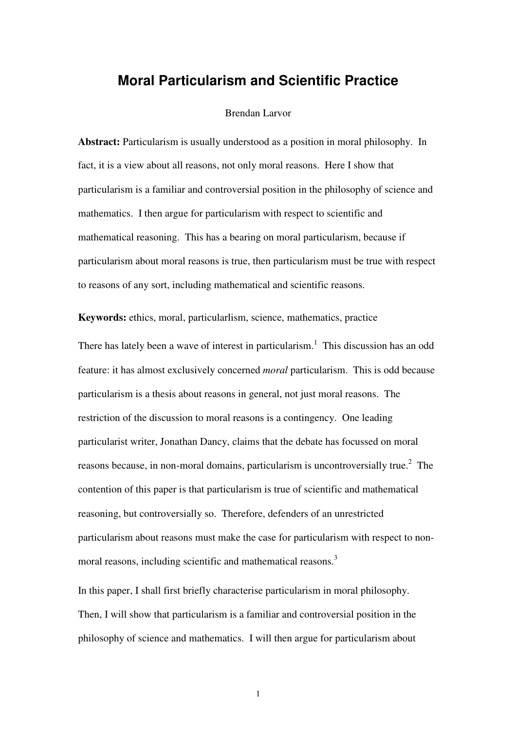# **Moral Particularism and Scientific Practice**

#### Brendan Larvor

**Abstract:** Particularism is usually understood as a position in moral philosophy. In fact, it is a view about all reasons, not only moral reasons. Here I show that particularism is a familiar and controversial position in the philosophy of science and mathematics. I then argue for particularism with respect to scientific and mathematical reasoning. This has a bearing on moral particularism, because if particularism about moral reasons is true, then particularism must be true with respect to reasons of any sort, including mathematical and scientific reasons.

**Keywords:** ethics, moral, particularlism, science, mathematics, practice

There has lately been a wave of interest in particularism.<sup>1</sup> This discussion has an odd feature: it has almost exclusively concerned *moral* particularism. This is odd because particularism is a thesis about reasons in general, not just moral reasons. The restriction of the discussion to moral reasons is a contingency. One leading particularist writer, Jonathan Dancy, claims that the debate has focussed on moral reasons because, in non-moral domains, particularism is uncontroversially true.<sup>2</sup> The contention of this paper is that particularism is true of scientific and mathematical reasoning, but controversially so. Therefore, defenders of an unrestricted particularism about reasons must make the case for particularism with respect to nonmoral reasons, including scientific and mathematical reasons.<sup>3</sup>

In this paper, I shall first briefly characterise particularism in moral philosophy. Then, I will show that particularism is a familiar and controversial position in the philosophy of science and mathematics. I will then argue for particularism about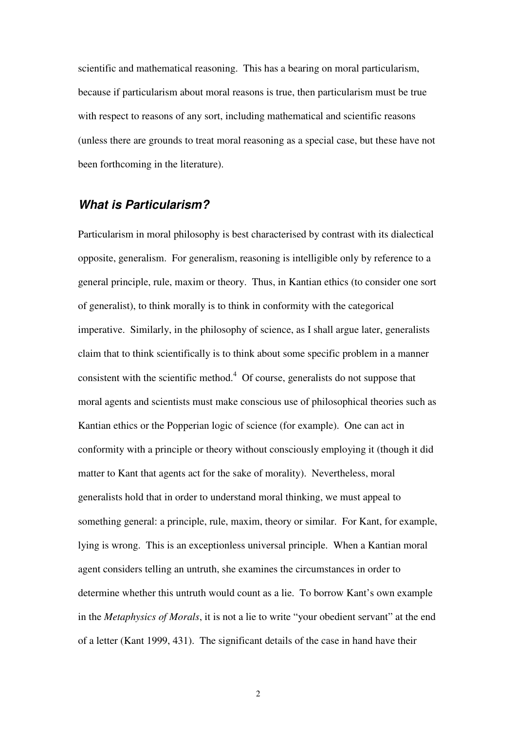scientific and mathematical reasoning. This has a bearing on moral particularism, because if particularism about moral reasons is true, then particularism must be true with respect to reasons of any sort, including mathematical and scientific reasons (unless there are grounds to treat moral reasoning as a special case, but these have not been forthcoming in the literature).

# **What is Particularism?**

Particularism in moral philosophy is best characterised by contrast with its dialectical opposite, generalism. For generalism, reasoning is intelligible only by reference to a general principle, rule, maxim or theory. Thus, in Kantian ethics (to consider one sort of generalist), to think morally is to think in conformity with the categorical imperative. Similarly, in the philosophy of science, as I shall argue later, generalists claim that to think scientifically is to think about some specific problem in a manner consistent with the scientific method. $4$  Of course, generalists do not suppose that moral agents and scientists must make conscious use of philosophical theories such as Kantian ethics or the Popperian logic of science (for example). One can act in conformity with a principle or theory without consciously employing it (though it did matter to Kant that agents act for the sake of morality). Nevertheless, moral generalists hold that in order to understand moral thinking, we must appeal to something general: a principle, rule, maxim, theory or similar. For Kant, for example, lying is wrong. This is an exceptionless universal principle. When a Kantian moral agent considers telling an untruth, she examines the circumstances in order to determine whether this untruth would count as a lie. To borrow Kant's own example in the *Metaphysics of Morals*, it is not a lie to write "your obedient servant" at the end of a letter (Kant 1999, 431). The significant details of the case in hand have their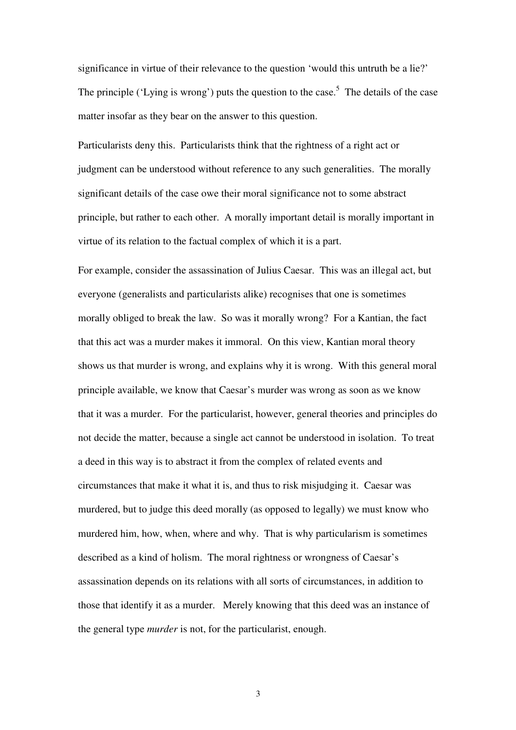significance in virtue of their relevance to the question 'would this untruth be a lie?' The principle ('Lying is wrong') puts the question to the case.<sup>5</sup> The details of the case matter insofar as they bear on the answer to this question.

Particularists deny this. Particularists think that the rightness of a right act or judgment can be understood without reference to any such generalities. The morally significant details of the case owe their moral significance not to some abstract principle, but rather to each other. A morally important detail is morally important in virtue of its relation to the factual complex of which it is a part.

For example, consider the assassination of Julius Caesar. This was an illegal act, but everyone (generalists and particularists alike) recognises that one is sometimes morally obliged to break the law. So was it morally wrong? For a Kantian, the fact that this act was a murder makes it immoral. On this view, Kantian moral theory shows us that murder is wrong, and explains why it is wrong. With this general moral principle available, we know that Caesar's murder was wrong as soon as we know that it was a murder. For the particularist, however, general theories and principles do not decide the matter, because a single act cannot be understood in isolation. To treat a deed in this way is to abstract it from the complex of related events and circumstances that make it what it is, and thus to risk misjudging it. Caesar was murdered, but to judge this deed morally (as opposed to legally) we must know who murdered him, how, when, where and why. That is why particularism is sometimes described as a kind of holism. The moral rightness or wrongness of Caesar's assassination depends on its relations with all sorts of circumstances, in addition to those that identify it as a murder. Merely knowing that this deed was an instance of the general type *murder* is not, for the particularist, enough.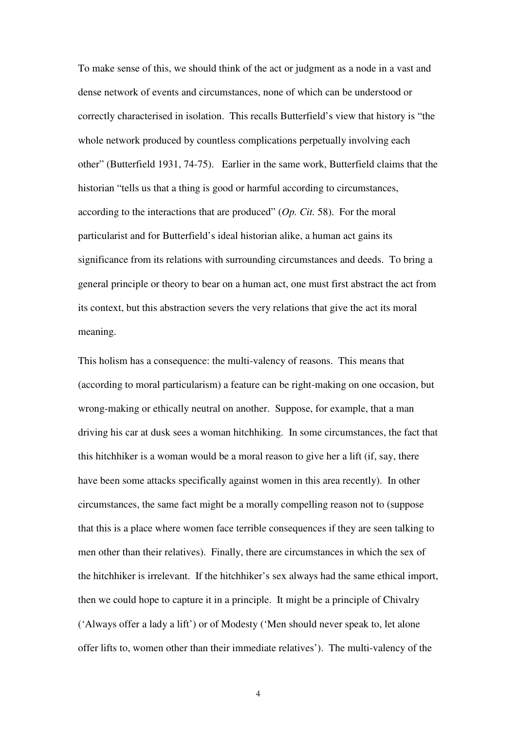To make sense of this, we should think of the act or judgment as a node in a vast and dense network of events and circumstances, none of which can be understood or correctly characterised in isolation. This recalls Butterfield's view that history is "the whole network produced by countless complications perpetually involving each other" (Butterfield 1931, 74-75). Earlier in the same work, Butterfield claims that the historian "tells us that a thing is good or harmful according to circumstances, according to the interactions that are produced" (*Op. Cit.* 58). For the moral particularist and for Butterfield's ideal historian alike, a human act gains its significance from its relations with surrounding circumstances and deeds. To bring a general principle or theory to bear on a human act, one must first abstract the act from its context, but this abstraction severs the very relations that give the act its moral meaning.

This holism has a consequence: the multi-valency of reasons. This means that (according to moral particularism) a feature can be right-making on one occasion, but wrong-making or ethically neutral on another. Suppose, for example, that a man driving his car at dusk sees a woman hitchhiking. In some circumstances, the fact that this hitchhiker is a woman would be a moral reason to give her a lift (if, say, there have been some attacks specifically against women in this area recently). In other circumstances, the same fact might be a morally compelling reason not to (suppose that this is a place where women face terrible consequences if they are seen talking to men other than their relatives). Finally, there are circumstances in which the sex of the hitchhiker is irrelevant. If the hitchhiker's sex always had the same ethical import, then we could hope to capture it in a principle. It might be a principle of Chivalry ('Always offer a lady a lift') or of Modesty ('Men should never speak to, let alone offer lifts to, women other than their immediate relatives'). The multi-valency of the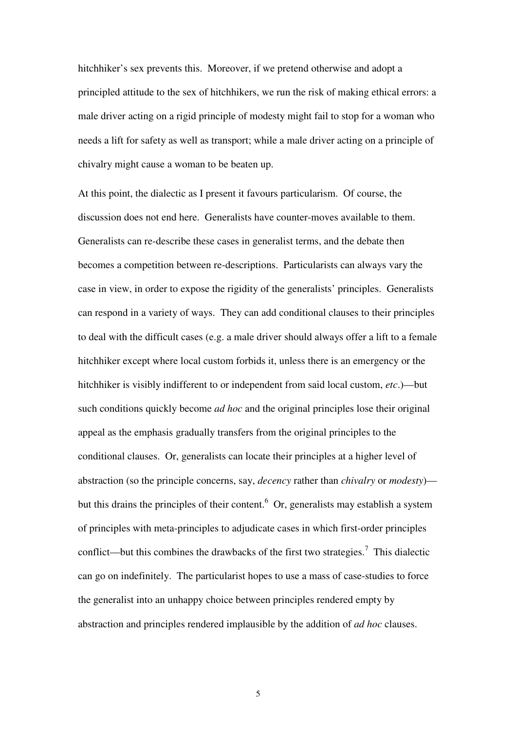hitchhiker's sex prevents this. Moreover, if we pretend otherwise and adopt a principled attitude to the sex of hitchhikers, we run the risk of making ethical errors: a male driver acting on a rigid principle of modesty might fail to stop for a woman who needs a lift for safety as well as transport; while a male driver acting on a principle of chivalry might cause a woman to be beaten up.

At this point, the dialectic as I present it favours particularism. Of course, the discussion does not end here. Generalists have counter-moves available to them. Generalists can re-describe these cases in generalist terms, and the debate then becomes a competition between re-descriptions. Particularists can always vary the case in view, in order to expose the rigidity of the generalists' principles. Generalists can respond in a variety of ways. They can add conditional clauses to their principles to deal with the difficult cases (e.g. a male driver should always offer a lift to a female hitchhiker except where local custom forbids it, unless there is an emergency or the hitchhiker is visibly indifferent to or independent from said local custom, *etc*.)—but such conditions quickly become *ad hoc* and the original principles lose their original appeal as the emphasis gradually transfers from the original principles to the conditional clauses. Or, generalists can locate their principles at a higher level of abstraction (so the principle concerns, say, *decency* rather than *chivalry* or *modesty*) but this drains the principles of their content.  $6\text{ Or, generalists may establish a system}$ of principles with meta-principles to adjudicate cases in which first-order principles conflict—but this combines the drawbacks of the first two strategies.<sup>7</sup> This dialectic can go on indefinitely. The particularist hopes to use a mass of case-studies to force the generalist into an unhappy choice between principles rendered empty by abstraction and principles rendered implausible by the addition of *ad hoc* clauses.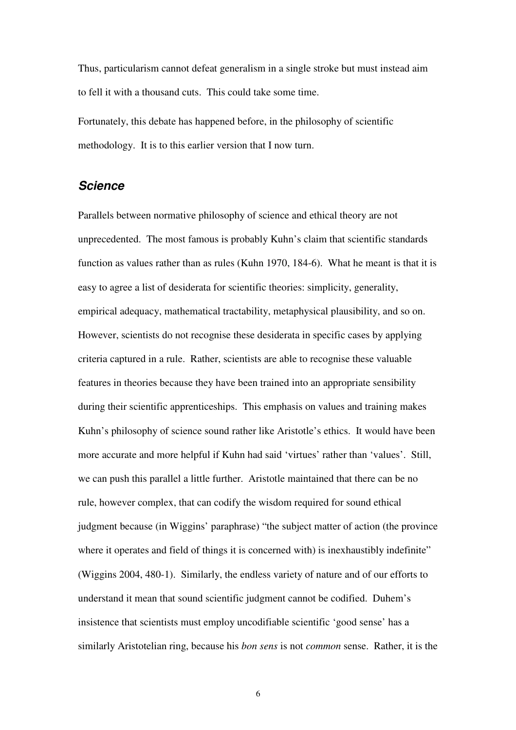Thus, particularism cannot defeat generalism in a single stroke but must instead aim to fell it with a thousand cuts. This could take some time.

Fortunately, this debate has happened before, in the philosophy of scientific methodology. It is to this earlier version that I now turn.

### **Science**

Parallels between normative philosophy of science and ethical theory are not unprecedented. The most famous is probably Kuhn's claim that scientific standards function as values rather than as rules (Kuhn 1970, 184-6). What he meant is that it is easy to agree a list of desiderata for scientific theories: simplicity, generality, empirical adequacy, mathematical tractability, metaphysical plausibility, and so on. However, scientists do not recognise these desiderata in specific cases by applying criteria captured in a rule. Rather, scientists are able to recognise these valuable features in theories because they have been trained into an appropriate sensibility during their scientific apprenticeships. This emphasis on values and training makes Kuhn's philosophy of science sound rather like Aristotle's ethics. It would have been more accurate and more helpful if Kuhn had said 'virtues' rather than 'values'. Still, we can push this parallel a little further. Aristotle maintained that there can be no rule, however complex, that can codify the wisdom required for sound ethical judgment because (in Wiggins' paraphrase) "the subject matter of action (the province where it operates and field of things it is concerned with) is inexhaustibly indefinite" (Wiggins 2004, 480-1). Similarly, the endless variety of nature and of our efforts to understand it mean that sound scientific judgment cannot be codified. Duhem's insistence that scientists must employ uncodifiable scientific 'good sense' has a similarly Aristotelian ring, because his *bon sens* is not *common* sense. Rather, it is the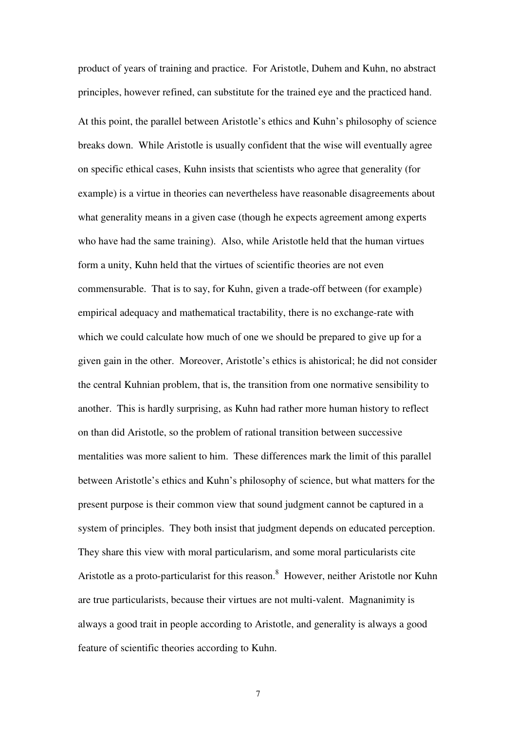product of years of training and practice. For Aristotle, Duhem and Kuhn, no abstract principles, however refined, can substitute for the trained eye and the practiced hand. At this point, the parallel between Aristotle's ethics and Kuhn's philosophy of science breaks down. While Aristotle is usually confident that the wise will eventually agree on specific ethical cases, Kuhn insists that scientists who agree that generality (for example) is a virtue in theories can nevertheless have reasonable disagreements about what generality means in a given case (though he expects agreement among experts who have had the same training). Also, while Aristotle held that the human virtues form a unity, Kuhn held that the virtues of scientific theories are not even commensurable. That is to say, for Kuhn, given a trade-off between (for example) empirical adequacy and mathematical tractability, there is no exchange-rate with which we could calculate how much of one we should be prepared to give up for a given gain in the other. Moreover, Aristotle's ethics is ahistorical; he did not consider the central Kuhnian problem, that is, the transition from one normative sensibility to another. This is hardly surprising, as Kuhn had rather more human history to reflect on than did Aristotle, so the problem of rational transition between successive mentalities was more salient to him. These differences mark the limit of this parallel between Aristotle's ethics and Kuhn's philosophy of science, but what matters for the present purpose is their common view that sound judgment cannot be captured in a system of principles. They both insist that judgment depends on educated perception. They share this view with moral particularism, and some moral particularists cite Aristotle as a proto-particularist for this reason.<sup>8</sup> However, neither Aristotle nor Kuhn are true particularists, because their virtues are not multi-valent. Magnanimity is always a good trait in people according to Aristotle, and generality is always a good feature of scientific theories according to Kuhn.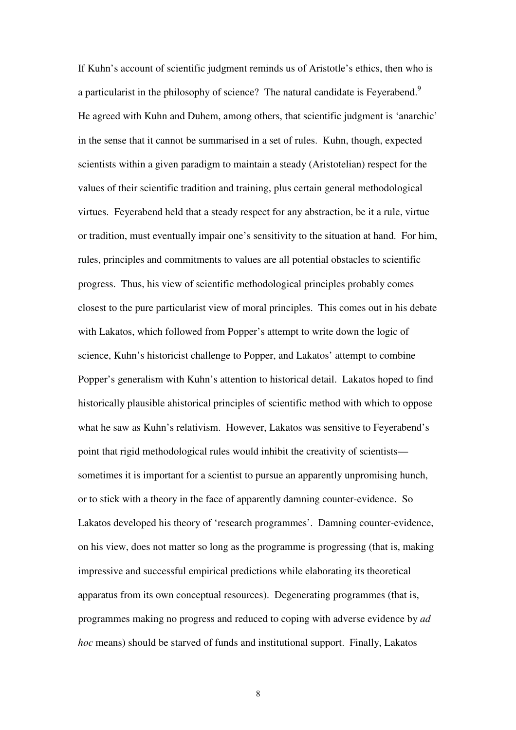If Kuhn's account of scientific judgment reminds us of Aristotle's ethics, then who is a particularist in the philosophy of science? The natural candidate is Feyerabend.<sup>9</sup> He agreed with Kuhn and Duhem, among others, that scientific judgment is 'anarchic' in the sense that it cannot be summarised in a set of rules. Kuhn, though, expected scientists within a given paradigm to maintain a steady (Aristotelian) respect for the values of their scientific tradition and training, plus certain general methodological virtues. Feyerabend held that a steady respect for any abstraction, be it a rule, virtue or tradition, must eventually impair one's sensitivity to the situation at hand. For him, rules, principles and commitments to values are all potential obstacles to scientific progress. Thus, his view of scientific methodological principles probably comes closest to the pure particularist view of moral principles. This comes out in his debate with Lakatos, which followed from Popper's attempt to write down the logic of science, Kuhn's historicist challenge to Popper, and Lakatos' attempt to combine Popper's generalism with Kuhn's attention to historical detail. Lakatos hoped to find historically plausible ahistorical principles of scientific method with which to oppose what he saw as Kuhn's relativism. However, Lakatos was sensitive to Feyerabend's point that rigid methodological rules would inhibit the creativity of scientists sometimes it is important for a scientist to pursue an apparently unpromising hunch, or to stick with a theory in the face of apparently damning counter-evidence. So Lakatos developed his theory of 'research programmes'. Damning counter-evidence, on his view, does not matter so long as the programme is progressing (that is, making impressive and successful empirical predictions while elaborating its theoretical apparatus from its own conceptual resources). Degenerating programmes (that is, programmes making no progress and reduced to coping with adverse evidence by *ad hoc* means) should be starved of funds and institutional support. Finally, Lakatos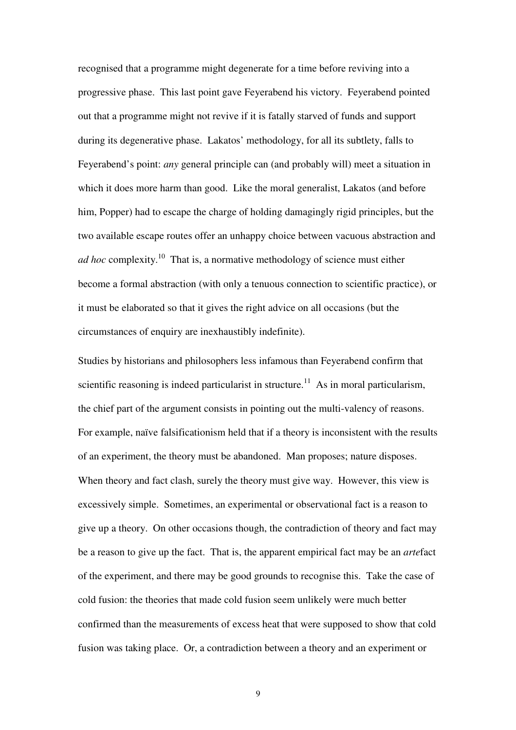recognised that a programme might degenerate for a time before reviving into a progressive phase. This last point gave Feyerabend his victory. Feyerabend pointed out that a programme might not revive if it is fatally starved of funds and support during its degenerative phase. Lakatos' methodology, for all its subtlety, falls to Feyerabend's point: *any* general principle can (and probably will) meet a situation in which it does more harm than good. Like the moral generalist, Lakatos (and before him, Popper) had to escape the charge of holding damagingly rigid principles, but the two available escape routes offer an unhappy choice between vacuous abstraction and *ad hoc* complexity.<sup>10</sup> That is, a normative methodology of science must either become a formal abstraction (with only a tenuous connection to scientific practice), or it must be elaborated so that it gives the right advice on all occasions (but the circumstances of enquiry are inexhaustibly indefinite).

Studies by historians and philosophers less infamous than Feyerabend confirm that scientific reasoning is indeed particularist in structure.<sup>11</sup> As in moral particularism, the chief part of the argument consists in pointing out the multi-valency of reasons. For example, naïve falsificationism held that if a theory is inconsistent with the results of an experiment, the theory must be abandoned. Man proposes; nature disposes. When theory and fact clash, surely the theory must give way. However, this view is excessively simple. Sometimes, an experimental or observational fact is a reason to give up a theory. On other occasions though, the contradiction of theory and fact may be a reason to give up the fact. That is, the apparent empirical fact may be an *arte*fact of the experiment, and there may be good grounds to recognise this. Take the case of cold fusion: the theories that made cold fusion seem unlikely were much better confirmed than the measurements of excess heat that were supposed to show that cold fusion was taking place. Or, a contradiction between a theory and an experiment or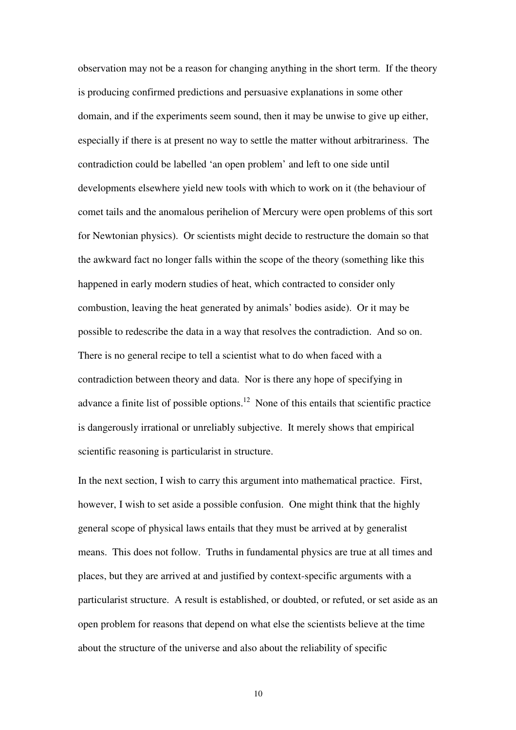observation may not be a reason for changing anything in the short term. If the theory is producing confirmed predictions and persuasive explanations in some other domain, and if the experiments seem sound, then it may be unwise to give up either, especially if there is at present no way to settle the matter without arbitrariness. The contradiction could be labelled 'an open problem' and left to one side until developments elsewhere yield new tools with which to work on it (the behaviour of comet tails and the anomalous perihelion of Mercury were open problems of this sort for Newtonian physics). Or scientists might decide to restructure the domain so that the awkward fact no longer falls within the scope of the theory (something like this happened in early modern studies of heat, which contracted to consider only combustion, leaving the heat generated by animals' bodies aside). Or it may be possible to redescribe the data in a way that resolves the contradiction. And so on. There is no general recipe to tell a scientist what to do when faced with a contradiction between theory and data. Nor is there any hope of specifying in advance a finite list of possible options.<sup>12</sup> None of this entails that scientific practice is dangerously irrational or unreliably subjective. It merely shows that empirical scientific reasoning is particularist in structure.

In the next section, I wish to carry this argument into mathematical practice. First, however, I wish to set aside a possible confusion. One might think that the highly general scope of physical laws entails that they must be arrived at by generalist means. This does not follow. Truths in fundamental physics are true at all times and places, but they are arrived at and justified by context-specific arguments with a particularist structure. A result is established, or doubted, or refuted, or set aside as an open problem for reasons that depend on what else the scientists believe at the time about the structure of the universe and also about the reliability of specific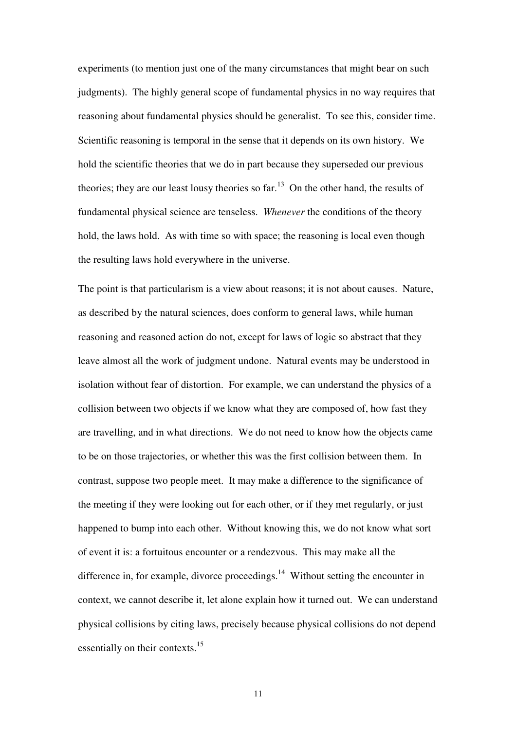experiments (to mention just one of the many circumstances that might bear on such judgments). The highly general scope of fundamental physics in no way requires that reasoning about fundamental physics should be generalist. To see this, consider time. Scientific reasoning is temporal in the sense that it depends on its own history. We hold the scientific theories that we do in part because they superseded our previous theories; they are our least lousy theories so  $far<sup>13</sup>$  On the other hand, the results of fundamental physical science are tenseless. *Whenever* the conditions of the theory hold, the laws hold. As with time so with space; the reasoning is local even though the resulting laws hold everywhere in the universe.

The point is that particularism is a view about reasons; it is not about causes. Nature, as described by the natural sciences, does conform to general laws, while human reasoning and reasoned action do not, except for laws of logic so abstract that they leave almost all the work of judgment undone. Natural events may be understood in isolation without fear of distortion. For example, we can understand the physics of a collision between two objects if we know what they are composed of, how fast they are travelling, and in what directions. We do not need to know how the objects came to be on those trajectories, or whether this was the first collision between them. In contrast, suppose two people meet. It may make a difference to the significance of the meeting if they were looking out for each other, or if they met regularly, or just happened to bump into each other. Without knowing this, we do not know what sort of event it is: a fortuitous encounter or a rendezvous. This may make all the difference in, for example, divorce proceedings.<sup>14</sup> Without setting the encounter in context, we cannot describe it, let alone explain how it turned out. We can understand physical collisions by citing laws, precisely because physical collisions do not depend essentially on their contexts.<sup>15</sup>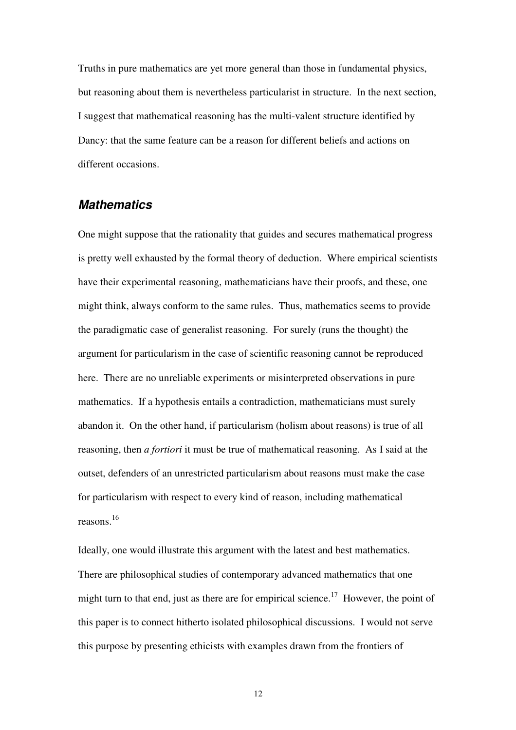Truths in pure mathematics are yet more general than those in fundamental physics, but reasoning about them is nevertheless particularist in structure. In the next section, I suggest that mathematical reasoning has the multi-valent structure identified by Dancy: that the same feature can be a reason for different beliefs and actions on different occasions.

# **Mathematics**

One might suppose that the rationality that guides and secures mathematical progress is pretty well exhausted by the formal theory of deduction. Where empirical scientists have their experimental reasoning, mathematicians have their proofs, and these, one might think, always conform to the same rules. Thus, mathematics seems to provide the paradigmatic case of generalist reasoning. For surely (runs the thought) the argument for particularism in the case of scientific reasoning cannot be reproduced here. There are no unreliable experiments or misinterpreted observations in pure mathematics. If a hypothesis entails a contradiction, mathematicians must surely abandon it. On the other hand, if particularism (holism about reasons) is true of all reasoning, then *a fortiori* it must be true of mathematical reasoning. As I said at the outset, defenders of an unrestricted particularism about reasons must make the case for particularism with respect to every kind of reason, including mathematical reasons. 16

Ideally, one would illustrate this argument with the latest and best mathematics. There are philosophical studies of contemporary advanced mathematics that one might turn to that end, just as there are for empirical science.<sup>17</sup> However, the point of this paper is to connect hitherto isolated philosophical discussions. I would not serve this purpose by presenting ethicists with examples drawn from the frontiers of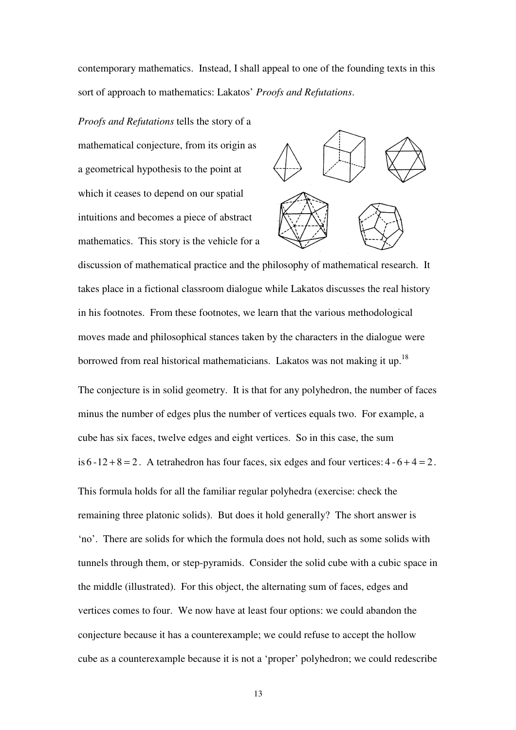contemporary mathematics. Instead, I shall appeal to one of the founding texts in this sort of approach to mathematics: Lakatos' *Proofs and Refutations*.

*Proofs and Refutations* tells the story of a mathematical conjecture, from its origin as a geometrical hypothesis to the point at which it ceases to depend on our spatial intuitions and becomes a piece of abstract mathematics. This story is the vehicle for a



discussion of mathematical practice and the philosophy of mathematical research. It takes place in a fictional classroom dialogue while Lakatos discusses the real history in his footnotes. From these footnotes, we learn that the various methodological moves made and philosophical stances taken by the characters in the dialogue were borrowed from real historical mathematicians. Lakatos was not making it up.<sup>18</sup>

The conjecture is in solid geometry. It is that for any polyhedron, the number of faces minus the number of edges plus the number of vertices equals two. For example, a cube has six faces, twelve edges and eight vertices. So in this case, the sum is  $6 - 12 + 8 = 2$ . A tetrahedron has four faces, six edges and four vertices:  $4 - 6 + 4 = 2$ . This formula holds for all the familiar regular polyhedra (exercise: check the remaining three platonic solids). But does it hold generally? The short answer is 'no'. There are solids for which the formula does not hold, such as some solids with tunnels through them, or step-pyramids. Consider the solid cube with a cubic space in the middle (illustrated). For this object, the alternating sum of faces, edges and vertices comes to four. We now have at least four options: we could abandon the conjecture because it has a counterexample; we could refuse to accept the hollow cube as a counterexample because it is not a 'proper' polyhedron; we could redescribe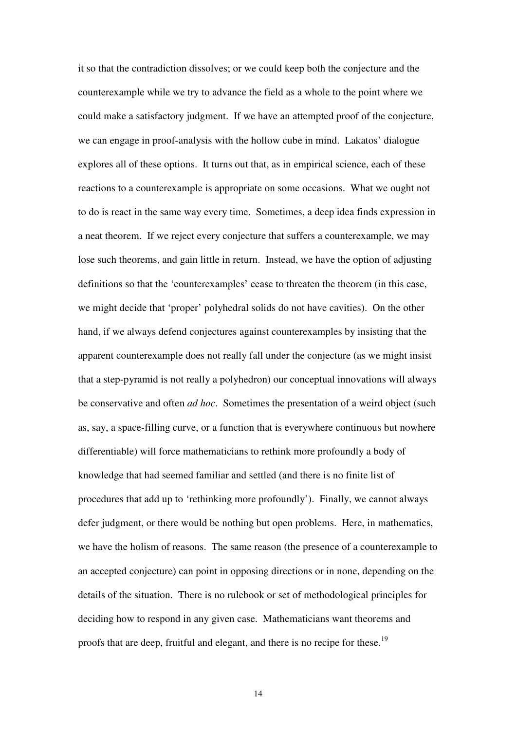it so that the contradiction dissolves; or we could keep both the conjecture and the counterexample while we try to advance the field as a whole to the point where we could make a satisfactory judgment. If we have an attempted proof of the conjecture, we can engage in proof-analysis with the hollow cube in mind. Lakatos' dialogue explores all of these options. It turns out that, as in empirical science, each of these reactions to a counterexample is appropriate on some occasions. What we ought not to do is react in the same way every time. Sometimes, a deep idea finds expression in a neat theorem. If we reject every conjecture that suffers a counterexample, we may lose such theorems, and gain little in return. Instead, we have the option of adjusting definitions so that the 'counterexamples' cease to threaten the theorem (in this case, we might decide that 'proper' polyhedral solids do not have cavities). On the other hand, if we always defend conjectures against counterexamples by insisting that the apparent counterexample does not really fall under the conjecture (as we might insist that a step-pyramid is not really a polyhedron) our conceptual innovations will always be conservative and often *ad hoc*. Sometimes the presentation of a weird object (such as, say, a space-filling curve, or a function that is everywhere continuous but nowhere differentiable) will force mathematicians to rethink more profoundly a body of knowledge that had seemed familiar and settled (and there is no finite list of procedures that add up to 'rethinking more profoundly'). Finally, we cannot always defer judgment, or there would be nothing but open problems. Here, in mathematics, we have the holism of reasons. The same reason (the presence of a counterexample to an accepted conjecture) can point in opposing directions or in none, depending on the details of the situation. There is no rulebook or set of methodological principles for deciding how to respond in any given case. Mathematicians want theorems and proofs that are deep, fruitful and elegant, and there is no recipe for these.<sup>19</sup>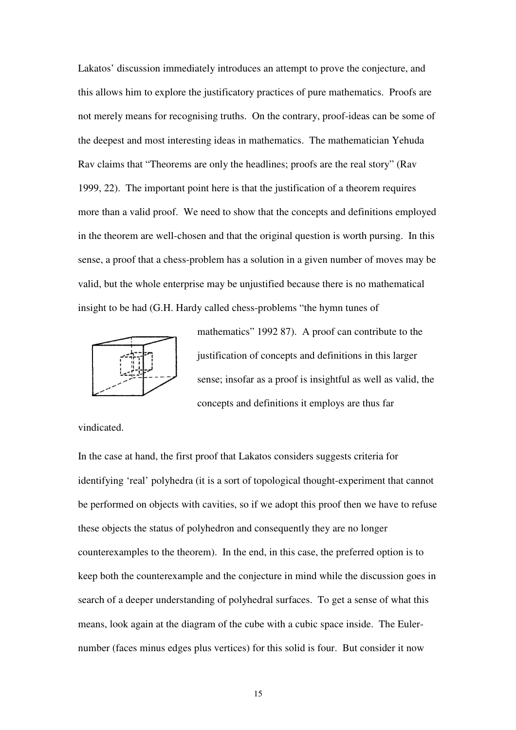Lakatos' discussion immediately introduces an attempt to prove the conjecture, and this allows him to explore the justificatory practices of pure mathematics. Proofs are not merely means for recognising truths. On the contrary, proof-ideas can be some of the deepest and most interesting ideas in mathematics. The mathematician Yehuda Rav claims that "Theorems are only the headlines; proofs are the real story" (Rav 1999, 22). The important point here is that the justification of a theorem requires more than a valid proof. We need to show that the concepts and definitions employed in the theorem are well-chosen and that the original question is worth pursing. In this sense, a proof that a chess-problem has a solution in a given number of moves may be valid, but the whole enterprise may be unjustified because there is no mathematical insight to be had (G.H. Hardy called chess-problems "the hymn tunes of



mathematics" 1992 87). A proof can contribute to the justification of concepts and definitions in this larger sense; insofar as a proof is insightful as well as valid, the concepts and definitions it employs are thus far

vindicated.

In the case at hand, the first proof that Lakatos considers suggests criteria for identifying 'real' polyhedra (it is a sort of topological thought-experiment that cannot be performed on objects with cavities, so if we adopt this proof then we have to refuse these objects the status of polyhedron and consequently they are no longer counterexamples to the theorem). In the end, in this case, the preferred option is to keep both the counterexample and the conjecture in mind while the discussion goes in search of a deeper understanding of polyhedral surfaces. To get a sense of what this means, look again at the diagram of the cube with a cubic space inside. The Eulernumber (faces minus edges plus vertices) for this solid is four. But consider it now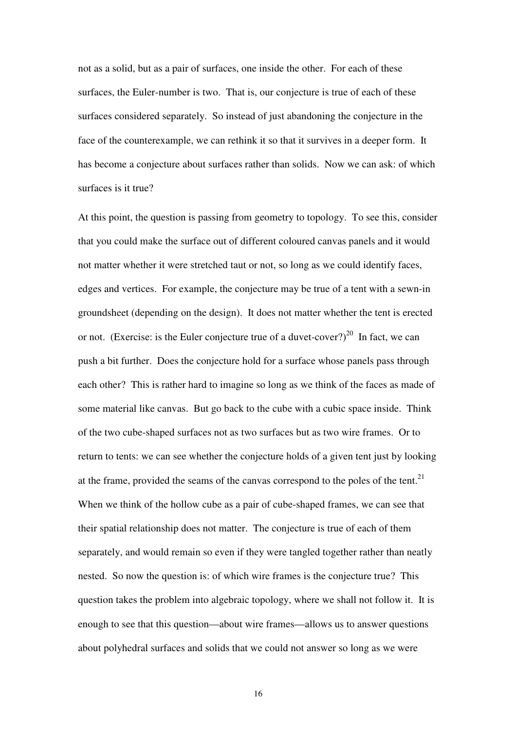not as a solid, but as a pair of surfaces, one inside the other. For each of these surfaces, the Euler-number is two. That is, our conjecture is true of each of these surfaces considered separately. So instead of just abandoning the conjecture in the face of the counterexample, we can rethink it so that it survives in a deeper form. It has become a conjecture about surfaces rather than solids. Now we can ask: of which surfaces is it true?

At this point, the question is passing from geometry to topology. To see this, consider that you could make the surface out of different coloured canvas panels and it would not matter whether it were stretched taut or not, so long as we could identify faces, edges and vertices. For example, the conjecture may be true of a tent with a sewn-in groundsheet (depending on the design). It does not matter whether the tent is erected or not. (Exercise: is the Euler conjecture true of a duvet-cover?)<sup>20</sup> In fact, we can push a bit further. Does the conjecture hold for a surface whose panels pass through each other? This is rather hard to imagine so long as we think of the faces as made of some material like canvas. But go back to the cube with a cubic space inside. Think of the two cube-shaped surfaces not as two surfaces but as two wire frames. Or to return to tents: we can see whether the conjecture holds of a given tent just by looking at the frame, provided the seams of the canvas correspond to the poles of the tent.<sup>21</sup> When we think of the hollow cube as a pair of cube-shaped frames, we can see that their spatial relationship does not matter. The conjecture is true of each of them separately, and would remain so even if they were tangled together rather than neatly nested. So now the question is: of which wire frames is the conjecture true? This question takes the problem into algebraic topology, where we shall not follow it. It is enough to see that this question—about wire frames—allows us to answer questions about polyhedral surfaces and solids that we could not answer so long as we were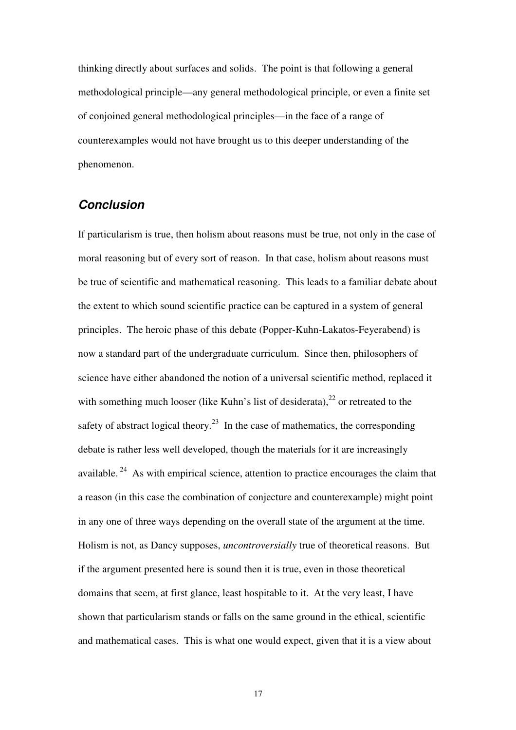thinking directly about surfaces and solids. The point is that following a general methodological principle—any general methodological principle, or even a finite set of conjoined general methodological principles—in the face of a range of counterexamples would not have brought us to this deeper understanding of the phenomenon.

# **Conclusion**

If particularism is true, then holism about reasons must be true, not only in the case of moral reasoning but of every sort of reason. In that case, holism about reasons must be true of scientific and mathematical reasoning. This leads to a familiar debate about the extent to which sound scientific practice can be captured in a system of general principles. The heroic phase of this debate (Popper-Kuhn-Lakatos-Feyerabend) is now a standard part of the undergraduate curriculum. Since then, philosophers of science have either abandoned the notion of a universal scientific method, replaced it with something much looser (like Kuhn's list of desiderata), $^{22}$  or retreated to the safety of abstract logical theory.<sup>23</sup> In the case of mathematics, the corresponding debate is rather less well developed, though the materials for it are increasingly available.<sup>24</sup> As with empirical science, attention to practice encourages the claim that a reason (in this case the combination of conjecture and counterexample) might point in any one of three ways depending on the overall state of the argument at the time. Holism is not, as Dancy supposes, *uncontroversially* true of theoretical reasons. But if the argument presented here is sound then it is true, even in those theoretical domains that seem, at first glance, least hospitable to it. At the very least, I have shown that particularism stands or falls on the same ground in the ethical, scientific and mathematical cases. This is what one would expect, given that it is a view about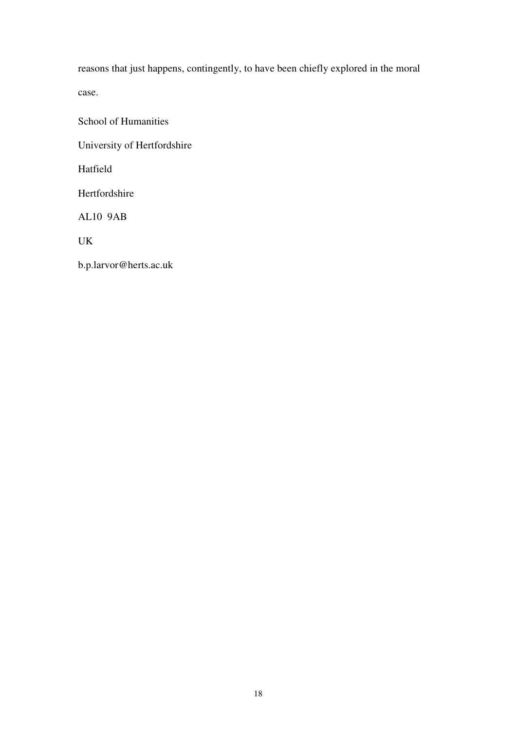reasons that just happens, contingently, to have been chiefly explored in the moral case.

School of Humanities

University of Hertfordshire

Hatfield

Hertfordshire

AL10 9AB

UK

b.p.larvor@herts.ac.uk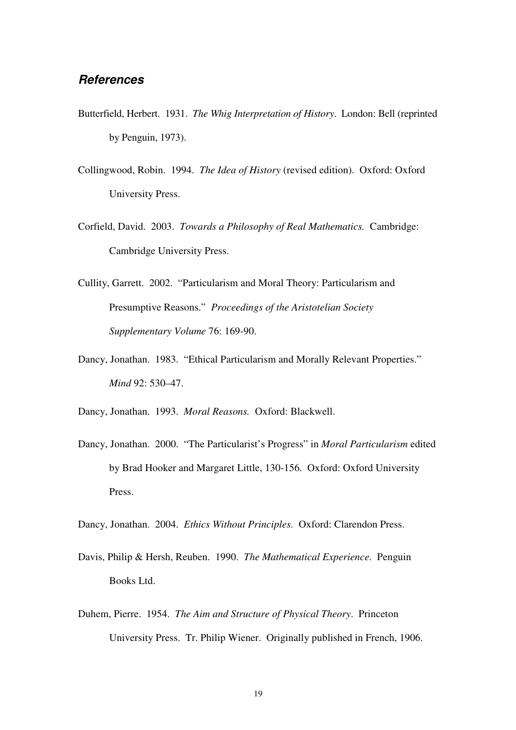### **References**

- Butterfield, Herbert. 1931. *The Whig Interpretation of History*. London: Bell (reprinted by Penguin, 1973).
- Collingwood, Robin. 1994. *The Idea of History* (revised edition). Oxford: Oxford University Press.
- Corfield, David. 2003. *Towards a Philosophy of Real Mathematics.* Cambridge: Cambridge University Press.
- Cullity, Garrett. 2002. "Particularism and Moral Theory: Particularism and Presumptive Reasons." *Proceedings of the Aristotelian Society Supplementary Volume* 76: 169-90.
- Dancy, Jonathan. 1983. "Ethical Particularism and Morally Relevant Properties." *Mind* 92: 530–47.

Dancy, Jonathan. 1993. *Moral Reasons.* Oxford: Blackwell.

Dancy, Jonathan. 2000. "The Particularist's Progress" in *Moral Particularism* edited by Brad Hooker and Margaret Little, 130-156. Oxford: Oxford University Press.

Dancy, Jonathan. 2004. *Ethics Without Principles.* Oxford: Clarendon Press.

- Davis, Philip & Hersh, Reuben. 1990. *The Mathematical Experience*. Penguin Books Ltd.
- Duhem, Pierre. 1954. *The Aim and Structure of Physical Theory*. Princeton University Press. Tr. Philip Wiener. Originally published in French, 1906.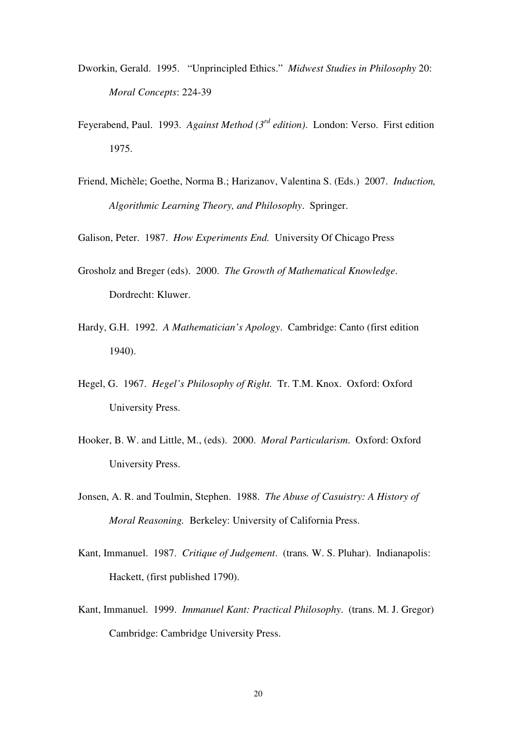- Dworkin, Gerald. 1995. "Unprincipled Ethics." *Midwest Studies in Philosophy* 20: *Moral Concepts*: 224-39
- Feyerabend, Paul. 1993. *Against Method (3rd edition)*. London: Verso. First edition 1975.
- Friend, Michèle; Goethe, Norma B.; Harizanov, Valentina S. (Eds.) 2007. *Induction, Algorithmic Learning Theory, and Philosophy*. Springer.

Galison, Peter. 1987. *How Experiments End.* University Of Chicago Press

- Grosholz and Breger (eds). 2000. *The Growth of Mathematical Knowledge*. Dordrecht: Kluwer.
- Hardy, G.H. 1992. *A Mathematician's Apology*. Cambridge: Canto (first edition 1940).
- Hegel, G. 1967. *Hegel's Philosophy of Right.* Tr. T.M. Knox. Oxford: Oxford University Press.
- Hooker, B. W. and Little, M., (eds). 2000. *Moral Particularism*. Oxford: Oxford University Press.
- Jonsen, A. R. and Toulmin, Stephen. 1988. *The Abuse of Casuistry: A History of Moral Reasoning.* Berkeley: University of California Press.
- Kant, Immanuel. 1987. *Critique of Judgement*. (trans*.* W. S. Pluhar). Indianapolis: Hackett, (first published 1790).
- Kant, Immanuel. 1999. *Immanuel Kant: Practical Philosophy*. (trans. M. J. Gregor) Cambridge: Cambridge University Press.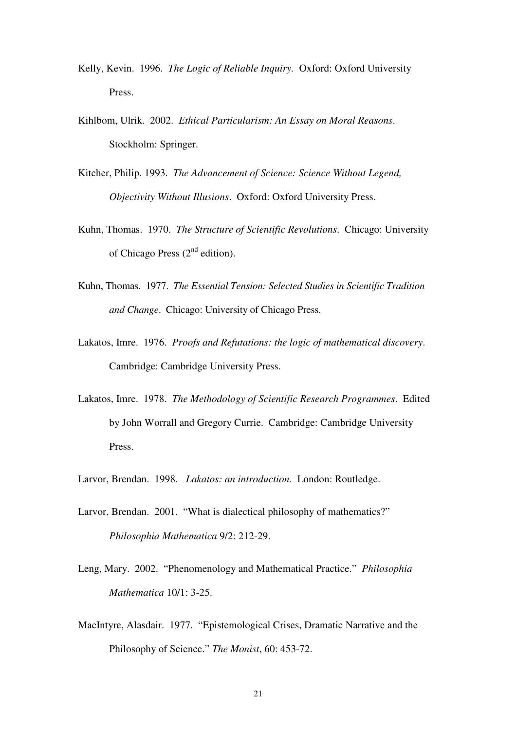- Kelly, Kevin. 1996. *The Logic of Reliable Inquiry.* Oxford: Oxford University Press.
- Kihlbom, Ulrik. 2002. *Ethical Particularism: An Essay on Moral Reasons*. Stockholm: Springer.
- Kitcher, Philip. 1993. *The Advancement of Science: Science Without Legend, Objectivity Without Illusions*. Oxford: Oxford University Press.
- Kuhn, Thomas. 1970. *The Structure of Scientific Revolutions*. Chicago: University of Chicago Press  $(2<sup>nd</sup>$  edition).
- Kuhn, Thomas. 1977. *The Essential Tension: Selected Studies in Scientific Tradition and Change*. Chicago: University of Chicago Press.
- Lakatos, Imre. 1976. *Proofs and Refutations: the logic of mathematical discovery*. Cambridge: Cambridge University Press.
- Lakatos, Imre. 1978. *The Methodology of Scientific Research Programmes*. Edited by John Worrall and Gregory Currie. Cambridge: Cambridge University Press.
- Larvor, Brendan. 1998. *Lakatos: an introduction*. London: Routledge.
- Larvor, Brendan. 2001. "What is dialectical philosophy of mathematics?" *Philosophia Mathematica* 9/2: 212-29.
- Leng, Mary. 2002. "Phenomenology and Mathematical Practice." *Philosophia Mathematica* 10/1: 3-25.
- MacIntyre, Alasdair. 1977. "Epistemological Crises, Dramatic Narrative and the Philosophy of Science." *The Monist*, 60: 453-72.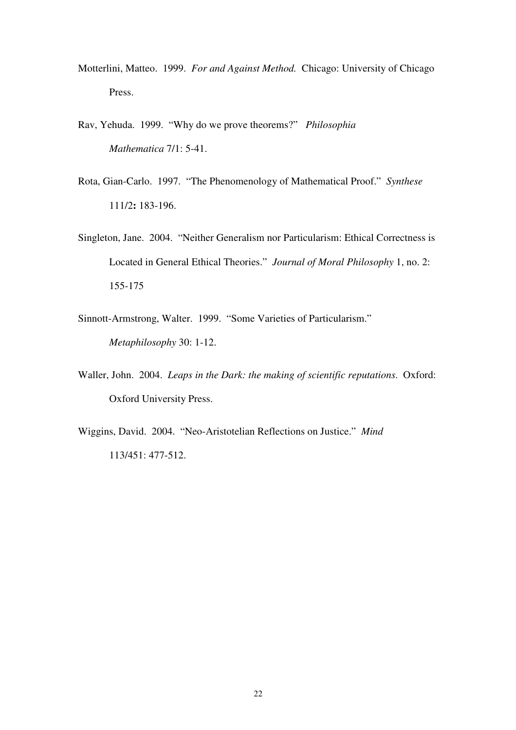- Motterlini, Matteo. 1999. *For and Against Method.* Chicago: University of Chicago Press.
- Rav, Yehuda. 1999. "Why do we prove theorems?" *Philosophia Mathematica* 7/1: 5-41.
- Rota, Gian-Carlo. 1997. "The Phenomenology of Mathematical Proof." *Synthese* 111/2**:** 183-196.
- Singleton, Jane. 2004. "Neither Generalism nor Particularism: Ethical Correctness is Located in General Ethical Theories." *Journal of Moral Philosophy* 1, no. 2: 155-175
- Sinnott-Armstrong, Walter. 1999. "Some Varieties of Particularism." *Metaphilosophy* 30: 1-12.
- Waller, John. 2004. *Leaps in the Dark: the making of scientific reputations*. Oxford: Oxford University Press.
- Wiggins, David. 2004. "Neo-Aristotelian Reflections on Justice." *Mind* 113/451: 477-512.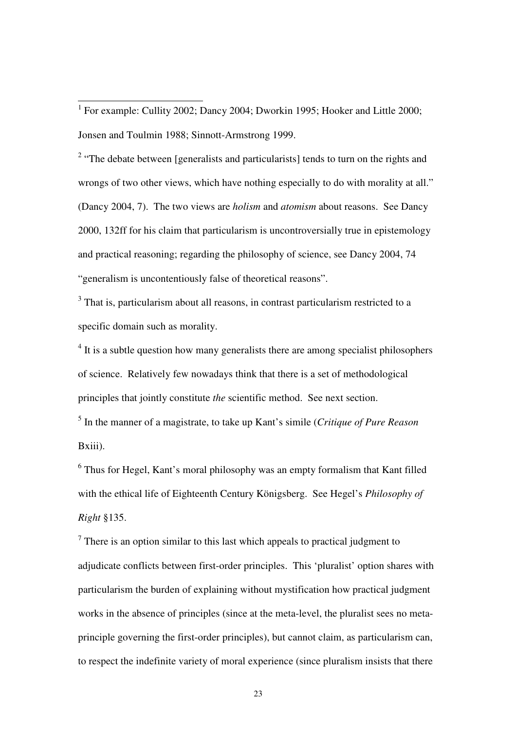<sup>1</sup> For example: Cullity 2002; Dancy 2004; Dworkin 1995; Hooker and Little 2000; Jonsen and Toulmin 1988; Sinnott-Armstrong 1999.

<sup>2</sup> "The debate between [generalists and particularists] tends to turn on the rights and wrongs of two other views, which have nothing especially to do with morality at all." (Dancy 2004, 7). The two views are *holism* and *atomism* about reasons. See Dancy 2000, 132ff for his claim that particularism is uncontroversially true in epistemology and practical reasoning; regarding the philosophy of science, see Dancy 2004, 74 "generalism is uncontentiously false of theoretical reasons".

 $3$  That is, particularism about all reasons, in contrast particularism restricted to a specific domain such as morality.

<sup>4</sup> It is a subtle question how many generalists there are among specialist philosophers of science. Relatively few nowadays think that there is a set of methodological principles that jointly constitute *the* scientific method. See next section.

5 In the manner of a magistrate, to take up Kant's simile (*Critique of Pure Reason* Bxiii).

<sup>6</sup> Thus for Hegel, Kant's moral philosophy was an empty formalism that Kant filled with the ethical life of Eighteenth Century Königsberg. See Hegel's *Philosophy of Right* §135.

 $<sup>7</sup>$  There is an option similar to this last which appeals to practical judgment to</sup> adjudicate conflicts between first-order principles. This 'pluralist' option shares with particularism the burden of explaining without mystification how practical judgment works in the absence of principles (since at the meta-level, the pluralist sees no metaprinciple governing the first-order principles), but cannot claim, as particularism can, to respect the indefinite variety of moral experience (since pluralism insists that there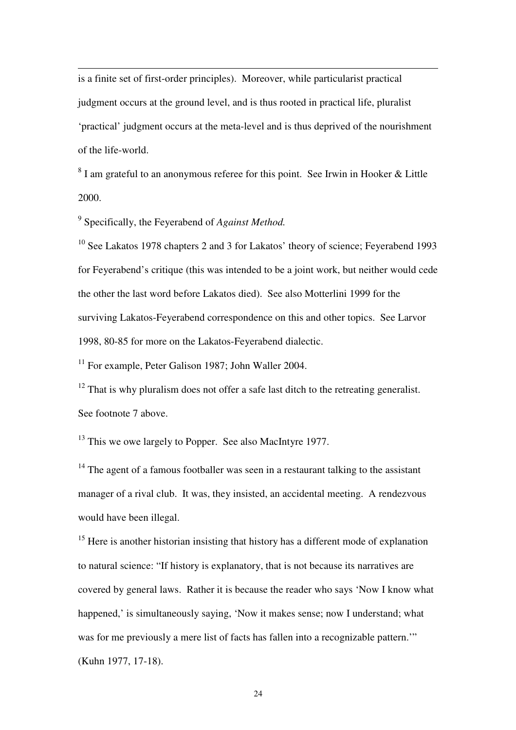is a finite set of first-order principles). Moreover, while particularist practical judgment occurs at the ground level, and is thus rooted in practical life, pluralist 'practical' judgment occurs at the meta-level and is thus deprived of the nourishment of the life-world.

 $8$  I am grateful to an anonymous referee for this point. See Irwin in Hooker & Little 2000.

9 Specifically, the Feyerabend of *Against Method.*

 $\overline{a}$ 

<sup>10</sup> See Lakatos 1978 chapters 2 and 3 for Lakatos' theory of science; Feyerabend 1993 for Feyerabend's critique (this was intended to be a joint work, but neither would cede the other the last word before Lakatos died). See also Motterlini 1999 for the surviving Lakatos-Feyerabend correspondence on this and other topics. See Larvor 1998, 80-85 for more on the Lakatos-Feyerabend dialectic.

<sup>11</sup> For example, Peter Galison 1987; John Waller 2004.

 $12$  That is why pluralism does not offer a safe last ditch to the retreating generalist. See footnote 7 above.

<sup>13</sup> This we owe largely to Popper. See also MacIntyre 1977.

<sup>14</sup> The agent of a famous footballer was seen in a restaurant talking to the assistant manager of a rival club. It was, they insisted, an accidental meeting. A rendezvous would have been illegal.

 $15$  Here is another historian insisting that history has a different mode of explanation to natural science: "If history is explanatory, that is not because its narratives are covered by general laws. Rather it is because the reader who says 'Now I know what happened,' is simultaneously saying, 'Now it makes sense; now I understand; what was for me previously a mere list of facts has fallen into a recognizable pattern.'" (Kuhn 1977, 17-18).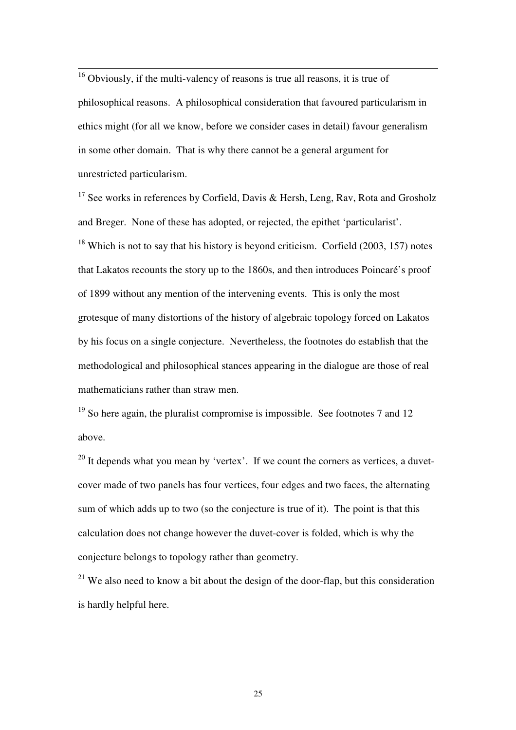$16$  Obviously, if the multi-valency of reasons is true all reasons, it is true of philosophical reasons. A philosophical consideration that favoured particularism in ethics might (for all we know, before we consider cases in detail) favour generalism in some other domain. That is why there cannot be a general argument for unrestricted particularism.

 $\overline{a}$ 

<sup>17</sup> See works in references by Corfield, Davis & Hersh, Leng, Rav, Rota and Grosholz and Breger. None of these has adopted, or rejected, the epithet 'particularist'.  $18$  Which is not to say that his history is beyond criticism. Corfield (2003, 157) notes that Lakatos recounts the story up to the 1860s, and then introduces Poincaré's proof of 1899 without any mention of the intervening events. This is only the most grotesque of many distortions of the history of algebraic topology forced on Lakatos by his focus on a single conjecture. Nevertheless, the footnotes do establish that the methodological and philosophical stances appearing in the dialogue are those of real mathematicians rather than straw men.

 $19$  So here again, the pluralist compromise is impossible. See footnotes 7 and 12 above.

 $20$  It depends what you mean by 'vertex'. If we count the corners as vertices, a duvetcover made of two panels has four vertices, four edges and two faces, the alternating sum of which adds up to two (so the conjecture is true of it). The point is that this calculation does not change however the duvet-cover is folded, which is why the conjecture belongs to topology rather than geometry.

<sup>21</sup> We also need to know a bit about the design of the door-flap, but this consideration is hardly helpful here.